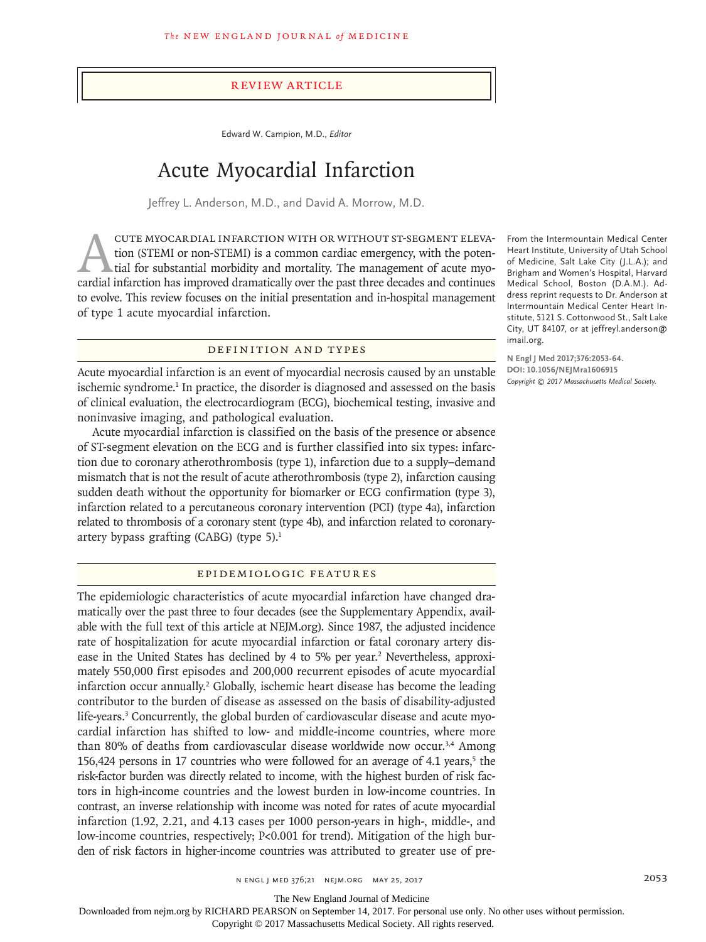#### Review Article

Edward W. Campion, M.D., *Editor*

# Acute Myocardial Infarction

Jeffrey L. Anderson, M.D., and David A. Morrow, M.D.

CUTE MYOCARDIAL INFARCTION WITH OR WITHOUT ST-SEGMENT ELEVA-<br>tion (STEMI or non-STEMI) is a common cardiac emergency, with the poten-<br>tial for substantial morbidity and mortality. The management of acute myo-<br>cardial infar tion (STEMI or non-STEMI) is a common cardiac emergency, with the potential for substantial morbidity and mortality. The management of acute myocardial infarction has improved dramatically over the past three decades and continues to evolve. This review focuses on the initial presentation and in-hospital management of type 1 acute myocardial infarction.

#### Definition and Types

Acute myocardial infarction is an event of myocardial necrosis caused by an unstable ischemic syndrome.<sup>1</sup> In practice, the disorder is diagnosed and assessed on the basis of clinical evaluation, the electrocardiogram (ECG), biochemical testing, invasive and noninvasive imaging, and pathological evaluation.

Acute myocardial infarction is classified on the basis of the presence or absence of ST-segment elevation on the ECG and is further classified into six types: infarction due to coronary atherothrombosis (type 1), infarction due to a supply–demand mismatch that is not the result of acute atherothrombosis (type 2), infarction causing sudden death without the opportunity for biomarker or ECG confirmation (type 3), infarction related to a percutaneous coronary intervention (PCI) (type 4a), infarction related to thrombosis of a coronary stent (type 4b), and infarction related to coronaryartery bypass grafting (CABG) (type 5).1

# Epidemiologic Features

The epidemiologic characteristics of acute myocardial infarction have changed dramatically over the past three to four decades (see the Supplementary Appendix, available with the full text of this article at NEJM.org). Since 1987, the adjusted incidence rate of hospitalization for acute myocardial infarction or fatal coronary artery disease in the United States has declined by 4 to 5% per year.<sup>2</sup> Nevertheless, approximately 550,000 first episodes and 200,000 recurrent episodes of acute myocardial infarction occur annually.2 Globally, ischemic heart disease has become the leading contributor to the burden of disease as assessed on the basis of disability-adjusted life-years.<sup>3</sup> Concurrently, the global burden of cardiovascular disease and acute myocardial infarction has shifted to low- and middle-income countries, where more than 80% of deaths from cardiovascular disease worldwide now occur.<sup>3,4</sup> Among 156,424 persons in 17 countries who were followed for an average of 4.1 years, $5$  the risk-factor burden was directly related to income, with the highest burden of risk factors in high-income countries and the lowest burden in low-income countries. In contrast, an inverse relationship with income was noted for rates of acute myocardial infarction (1.92, 2.21, and 4.13 cases per 1000 person-years in high-, middle-, and low-income countries, respectively; P<0.001 for trend). Mitigation of the high burden of risk factors in higher-income countries was attributed to greater use of pre-

From the Intermountain Medical Center Heart Institute, University of Utah School of Medicine, Salt Lake City (J.L.A.); and Brigham and Women's Hospital, Harvard Medical School, Boston (D.A.M.). Address reprint requests to Dr. Anderson at Intermountain Medical Center Heart Institute, 5121 S. Cottonwood St., Salt Lake City, UT 84107, or at jeffreyl.anderson@ imail.org.

**N Engl J Med 2017;376:2053-64. DOI: 10.1056/NEJMra1606915** *Copyright © 2017 Massachusetts Medical Society.*

The New England Journal of Medicine

Downloaded from nejm.org by RICHARD PEARSON on September 14, 2017. For personal use only. No other uses without permission.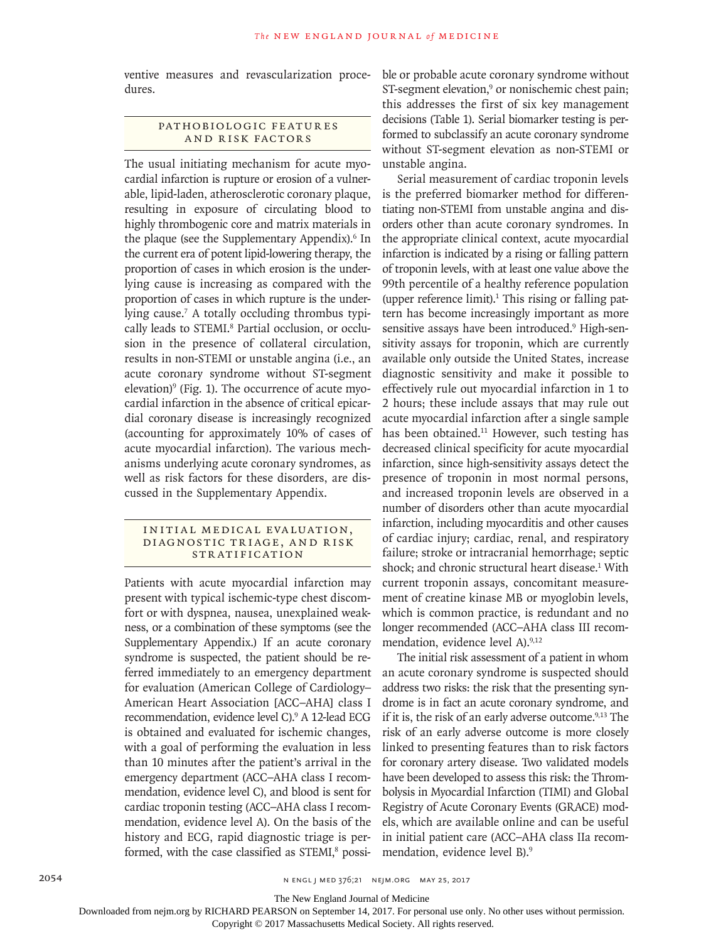ventive measures and revascularization procedures.

## PATHOBIOLOGIC FEATURES and Risk Factors

The usual initiating mechanism for acute myocardial infarction is rupture or erosion of a vulnerable, lipid-laden, atherosclerotic coronary plaque, resulting in exposure of circulating blood to highly thrombogenic core and matrix materials in the plaque (see the Supplementary Appendix).<sup>6</sup> In the current era of potent lipid-lowering therapy, the proportion of cases in which erosion is the underlying cause is increasing as compared with the proportion of cases in which rupture is the underlying cause.7 A totally occluding thrombus typically leads to STEMI.<sup>8</sup> Partial occlusion, or occlusion in the presence of collateral circulation, results in non-STEMI or unstable angina (i.e., an acute coronary syndrome without ST-segment elevation)<sup>9</sup> (Fig. 1). The occurrence of acute myocardial infarction in the absence of critical epicardial coronary disease is increasingly recognized (accounting for approximately 10% of cases of acute myocardial infarction). The various mechanisms underlying acute coronary syndromes, as well as risk factors for these disorders, are discussed in the Supplementary Appendix.

#### INITIAL MEDICAL EVALUATION, DIAGNOSTIC TRIAGE, AND RISK **STRATIFICATION**

Patients with acute myocardial infarction may present with typical ischemic-type chest discomfort or with dyspnea, nausea, unexplained weakness, or a combination of these symptoms (see the Supplementary Appendix.) If an acute coronary syndrome is suspected, the patient should be referred immediately to an emergency department for evaluation (American College of Cardiology– American Heart Association [ACC–AHA] class I recommendation, evidence level C).<sup>9</sup> A 12-lead ECG is obtained and evaluated for ischemic changes, with a goal of performing the evaluation in less than 10 minutes after the patient's arrival in the emergency department (ACC–AHA class I recommendation, evidence level C), and blood is sent for cardiac troponin testing (ACC–AHA class I recommendation, evidence level A). On the basis of the history and ECG, rapid diagnostic triage is performed, with the case classified as STEMI,<sup>8</sup> possible or probable acute coronary syndrome without ST-segment elevation,<sup>9</sup> or nonischemic chest pain; this addresses the first of six key management decisions (Table 1). Serial biomarker testing is performed to subclassify an acute coronary syndrome without ST-segment elevation as non-STEMI or unstable angina.

Serial measurement of cardiac troponin levels is the preferred biomarker method for differentiating non-STEMI from unstable angina and disorders other than acute coronary syndromes. In the appropriate clinical context, acute myocardial infarction is indicated by a rising or falling pattern of troponin levels, with at least one value above the 99th percentile of a healthy reference population (upper reference limit).<sup>1</sup> This rising or falling pattern has become increasingly important as more sensitive assays have been introduced.<sup>9</sup> High-sensitivity assays for troponin, which are currently available only outside the United States, increase diagnostic sensitivity and make it possible to effectively rule out myocardial infarction in 1 to 2 hours; these include assays that may rule out acute myocardial infarction after a single sample has been obtained.<sup>11</sup> However, such testing has decreased clinical specificity for acute myocardial infarction, since high-sensitivity assays detect the presence of troponin in most normal persons, and increased troponin levels are observed in a number of disorders other than acute myocardial infarction, including myocarditis and other causes of cardiac injury; cardiac, renal, and respiratory failure; stroke or intracranial hemorrhage; septic shock; and chronic structural heart disease.<sup>1</sup> With current troponin assays, concomitant measurement of creatine kinase MB or myoglobin levels, which is common practice, is redundant and no longer recommended (ACC–AHA class III recommendation, evidence level A).<sup>9,12</sup>

The initial risk assessment of a patient in whom an acute coronary syndrome is suspected should address two risks: the risk that the presenting syndrome is in fact an acute coronary syndrome, and if it is, the risk of an early adverse outcome.<sup>9,13</sup> The risk of an early adverse outcome is more closely linked to presenting features than to risk factors for coronary artery disease. Two validated models have been developed to assess this risk: the Thrombolysis in Myocardial Infarction (TIMI) and Global Registry of Acute Coronary Events (GRACE) models, which are available online and can be useful in initial patient care (ACC–AHA class IIa recommendation, evidence level B).9

The New England Journal of Medicine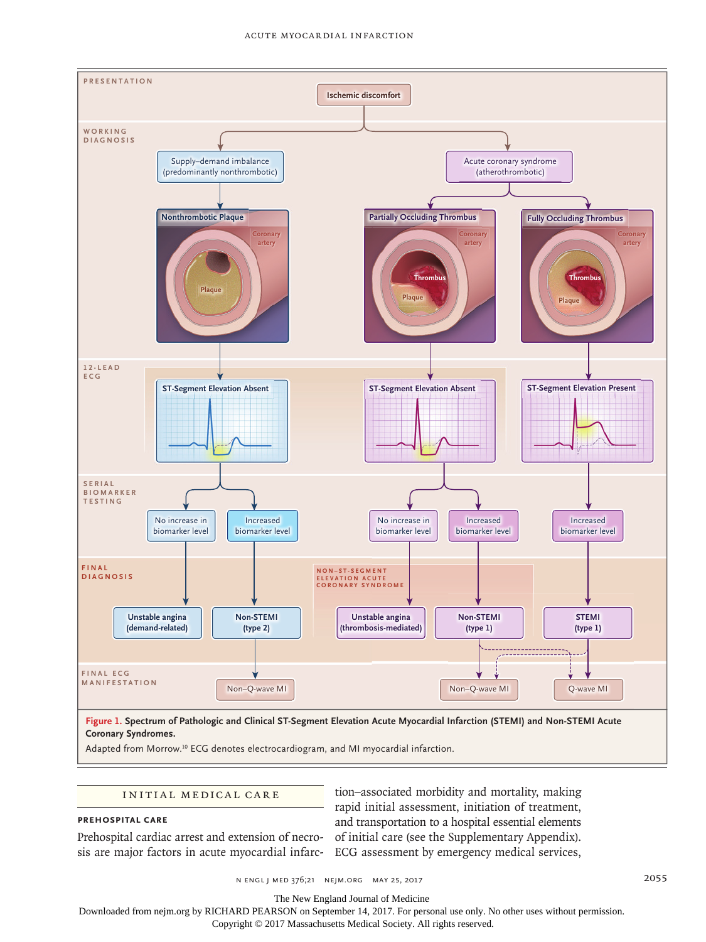

Adapted from Morrow.10 ECG denotes electrocardiogram, and MI myocardial infarction.

#### INITIAL MEDICAL CARE

#### **Prehospital Care**

Prehospital cardiac arrest and extension of necrosis are major factors in acute myocardial infarc-ECG assessment by emergency medical services,

tion–associated morbidity and mortality, making rapid initial assessment, initiation of treatment, and transportation to a hospital essential elements of initial care (see the Supplementary Appendix).

n engl j med 376;21 nejm.org May 25, 2017 2055

The New England Journal of Medicine

Downloaded from nejm.org by RICHARD PEARSON on September 14, 2017. For personal use only. No other uses without permission.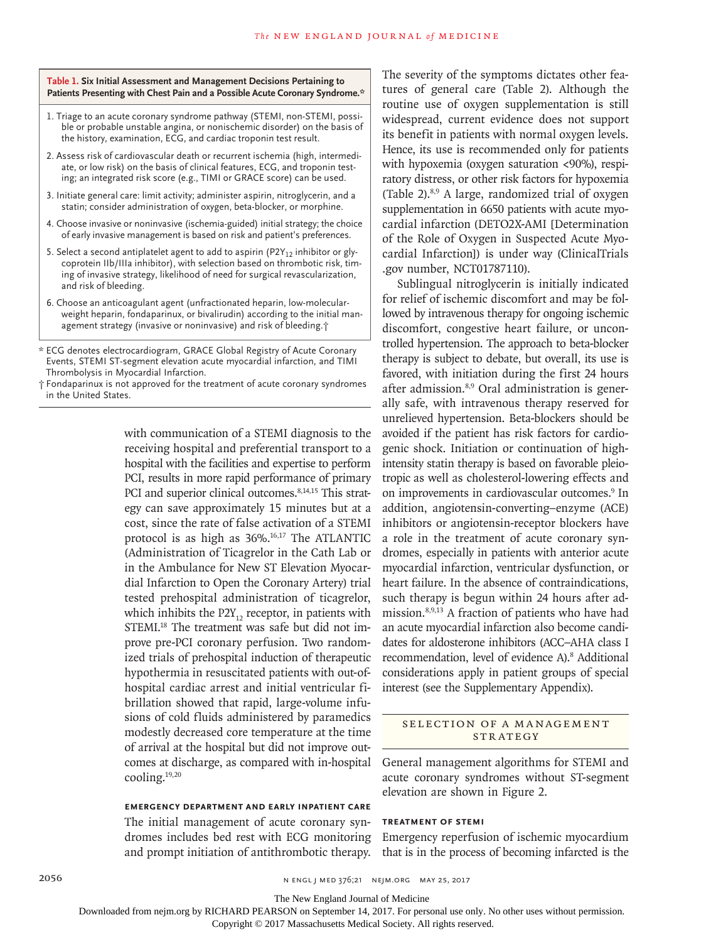**Table 1. Six Initial Assessment and Management Decisions Pertaining to Patients Presenting with Chest Pain and a Possible Acute Coronary Syndrome.\***

- 1. Triage to an acute coronary syndrome pathway (STEMI, non-STEMI, possible or probable unstable angina, or nonischemic disorder) on the basis of the history, examination, ECG, and cardiac troponin test result.
- 2. Assess risk of cardiovascular death or recurrent ischemia (high, intermediate, or low risk) on the basis of clinical features, ECG, and troponin testing; an integrated risk score (e.g., TIMI or GRACE score) can be used.
- 3. Initiate general care: limit activity; administer aspirin, nitroglycerin, and a statin; consider administration of oxygen, beta-blocker, or morphine.
- 4. Choose invasive or noninvasive (ischemia-guided) initial strategy; the choice of early invasive management is based on risk and patient's preferences.
- 5. Select a second antiplatelet agent to add to aspirin (P2Y<sub>12</sub> inhibitor or glycoprotein IIb/IIIa inhibitor), with selection based on thrombotic risk, timing of invasive strategy, likelihood of need for surgical revascularization, and risk of bleeding.
- 6. Choose an anticoagulant agent (unfractionated heparin, low-molecularweight heparin, fondaparinux, or bivalirudin) according to the initial management strategy (invasive or noninvasive) and risk of bleeding.†

\* ECG denotes electrocardiogram, GRACE Global Registry of Acute Coronary Events, STEMI ST-segment elevation acute myocardial infarction, and TIMI Thrombolysis in Myocardial Infarction.

† Fondaparinux is not approved for the treatment of acute coronary syndromes in the United States.

> with communication of a STEMI diagnosis to the receiving hospital and preferential transport to a hospital with the facilities and expertise to perform PCI, results in more rapid performance of primary PCI and superior clinical outcomes.<sup>8,14,15</sup> This strategy can save approximately 15 minutes but at a cost, since the rate of false activation of a STEMI protocol is as high as 36%.<sup>16,17</sup> The ATLANTIC (Administration of Ticagrelor in the Cath Lab or in the Ambulance for New ST Elevation Myocardial Infarction to Open the Coronary Artery) trial tested prehospital administration of ticagrelor, which inhibits the  $P2Y_{12}$  receptor, in patients with STEMI.<sup>18</sup> The treatment was safe but did not improve pre-PCI coronary perfusion. Two randomized trials of prehospital induction of therapeutic hypothermia in resuscitated patients with out-ofhospital cardiac arrest and initial ventricular fibrillation showed that rapid, large-volume infusions of cold fluids administered by paramedics modestly decreased core temperature at the time of arrival at the hospital but did not improve outcomes at discharge, as compared with in-hospital cooling.19,20

> **Emergency Department and Early Inpatient Care**

The initial management of acute coronary syndromes includes bed rest with ECG monitoring and prompt initiation of antithrombotic therapy. The severity of the symptoms dictates other features of general care (Table 2). Although the routine use of oxygen supplementation is still widespread, current evidence does not support its benefit in patients with normal oxygen levels. Hence, its use is recommended only for patients with hypoxemia (oxygen saturation <90%), respiratory distress, or other risk factors for hypoxemia (Table 2). $8,9$  A large, randomized trial of oxygen supplementation in 6650 patients with acute myocardial infarction (DETO2X-AMI [Determination of the Role of Oxygen in Suspected Acute Myocardial Infarction]) is under way (ClinicalTrials .gov number, NCT01787110).

Sublingual nitroglycerin is initially indicated for relief of ischemic discomfort and may be followed by intravenous therapy for ongoing ischemic discomfort, congestive heart failure, or uncontrolled hypertension. The approach to beta-blocker therapy is subject to debate, but overall, its use is favored, with initiation during the first 24 hours after admission.8,9 Oral administration is generally safe, with intravenous therapy reserved for unrelieved hypertension. Beta-blockers should be avoided if the patient has risk factors for cardiogenic shock. Initiation or continuation of highintensity statin therapy is based on favorable pleiotropic as well as cholesterol-lowering effects and on improvements in cardiovascular outcomes.<sup>9</sup> In addition, angiotensin-converting–enzyme (ACE) inhibitors or angiotensin-receptor blockers have a role in the treatment of acute coronary syndromes, especially in patients with anterior acute myocardial infarction, ventricular dysfunction, or heart failure. In the absence of contraindications, such therapy is begun within 24 hours after admission.8,9,13 A fraction of patients who have had an acute myocardial infarction also become candidates for aldosterone inhibitors (ACC–AHA class I recommendation, level of evidence A).<sup>8</sup> Additional considerations apply in patient groups of special interest (see the Supplementary Appendix).

## SELECTION OF A MANAGEMENT STRATEGY

General management algorithms for STEMI and acute coronary syndromes without ST-segment elevation are shown in Figure 2.

#### **Treatment of STEMI**

Emergency reperfusion of ischemic myocardium that is in the process of becoming infarcted is the

The New England Journal of Medicine

Downloaded from nejm.org by RICHARD PEARSON on September 14, 2017. For personal use only. No other uses without permission.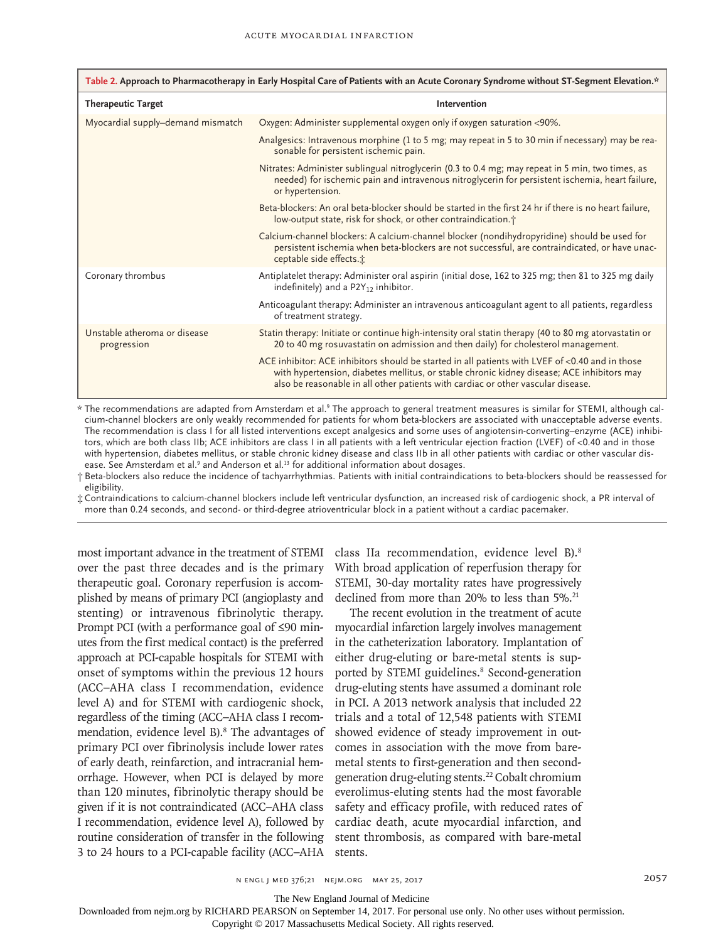| Table 2. Approach to Pharmacotherapy in Early Hospital Care of Patients with an Acute Coronary Syndrome without ST-Segment Elevation.* |                                                                                                                                                                                                                                                                                   |  |  |  |
|----------------------------------------------------------------------------------------------------------------------------------------|-----------------------------------------------------------------------------------------------------------------------------------------------------------------------------------------------------------------------------------------------------------------------------------|--|--|--|
| <b>Therapeutic Target</b>                                                                                                              | Intervention                                                                                                                                                                                                                                                                      |  |  |  |
| Myocardial supply-demand mismatch                                                                                                      | Oxygen: Administer supplemental oxygen only if oxygen saturation <90%.                                                                                                                                                                                                            |  |  |  |
|                                                                                                                                        | Analgesics: Intravenous morphine (1 to 5 mg; may repeat in 5 to 30 min if necessary) may be rea-<br>sonable for persistent ischemic pain.                                                                                                                                         |  |  |  |
|                                                                                                                                        | Nitrates: Administer sublingual nitroglycerin (0.3 to 0.4 mg; may repeat in 5 min, two times, as<br>needed) for ischemic pain and intravenous nitroglycerin for persistent ischemia, heart failure,<br>or hypertension.                                                           |  |  |  |
|                                                                                                                                        | Beta-blockers: An oral beta-blocker should be started in the first 24 hr if there is no heart failure,<br>low-output state, risk for shock, or other contraindication. <sup>†</sup>                                                                                               |  |  |  |
|                                                                                                                                        | Calcium-channel blockers: A calcium-channel blocker (nondihydropyridine) should be used for<br>persistent ischemia when beta-blockers are not successful, are contraindicated, or have unac-<br>ceptable side effects. <sup>*</sup>                                               |  |  |  |
| Coronary thrombus                                                                                                                      | Antiplatelet therapy: Administer oral aspirin (initial dose, 162 to 325 mg; then 81 to 325 mg daily<br>indefinitely) and a $P2Y_{12}$ inhibitor.                                                                                                                                  |  |  |  |
|                                                                                                                                        | Anticoagulant therapy: Administer an intravenous anticoagulant agent to all patients, regardless<br>of treatment strategy.                                                                                                                                                        |  |  |  |
| Unstable atheroma or disease<br>progression                                                                                            | Statin therapy: Initiate or continue high-intensity oral statin therapy (40 to 80 mg atorvastatin or<br>20 to 40 mg rosuvastatin on admission and then daily) for cholesterol management.                                                                                         |  |  |  |
|                                                                                                                                        | ACE inhibitor: ACE inhibitors should be started in all patients with LVEF of <0.40 and in those<br>with hypertension, diabetes mellitus, or stable chronic kidney disease; ACE inhibitors may<br>also be reasonable in all other patients with cardiac or other vascular disease. |  |  |  |

 $^\star$  The recommendations are adapted from Amsterdam et al.° The approach to general treatment measures is similar for STEMI, although calcium-channel blockers are only weakly recommended for patients for whom beta-blockers are associated with unacceptable adverse events. The recommendation is class I for all listed interventions except analgesics and some uses of angiotensin-converting–enzyme (ACE) inhibitors, which are both class IIb; ACE inhibitors are class I in all patients with a left ventricular ejection fraction (LVEF) of <0.40 and in those with hypertension, diabetes mellitus, or stable chronic kidney disease and class IIb in all other patients with cardiac or other vascular disease. See Amsterdam et al.<sup>9</sup> and Anderson et al.<sup>13</sup> for additional information about dosages.

† Beta-blockers also reduce the incidence of tachyarrhythmias. Patients with initial contraindications to beta-blockers should be reassessed for eligibility.

‡ Contraindications to calcium-channel blockers include left ventricular dysfunction, an increased risk of cardiogenic shock, a PR interval of more than 0.24 seconds, and second- or third-degree atrioventricular block in a patient without a cardiac pacemaker.

most important advance in the treatment of STEMI over the past three decades and is the primary therapeutic goal. Coronary reperfusion is accomplished by means of primary PCI (angioplasty and stenting) or intravenous fibrinolytic therapy. Prompt PCI (with a performance goal of ≤90 minutes from the first medical contact) is the preferred approach at PCI-capable hospitals for STEMI with onset of symptoms within the previous 12 hours (ACC–AHA class I recommendation, evidence level A) and for STEMI with cardiogenic shock, regardless of the timing (ACC–AHA class I recommendation, evidence level B).<sup>8</sup> The advantages of primary PCI over fibrinolysis include lower rates of early death, reinfarction, and intracranial hemorrhage. However, when PCI is delayed by more than 120 minutes, fibrinolytic therapy should be given if it is not contraindicated (ACC–AHA class I recommendation, evidence level A), followed by routine consideration of transfer in the following 3 to 24 hours to a PCI-capable facility (ACC–AHA

class IIa recommendation, evidence level B).8 With broad application of reperfusion therapy for STEMI, 30-day mortality rates have progressively declined from more than 20% to less than 5%.<sup>21</sup>

The recent evolution in the treatment of acute myocardial infarction largely involves management in the catheterization laboratory. Implantation of either drug-eluting or bare-metal stents is supported by STEMI guidelines.<sup>8</sup> Second-generation drug-eluting stents have assumed a dominant role in PCI. A 2013 network analysis that included 22 trials and a total of 12,548 patients with STEMI showed evidence of steady improvement in outcomes in association with the move from baremetal stents to first-generation and then secondgeneration drug-eluting stents.22 Cobalt chromium everolimus-eluting stents had the most favorable safety and efficacy profile, with reduced rates of cardiac death, acute myocardial infarction, and stent thrombosis, as compared with bare-metal stents.

n engl j med 376;21 nejm.org May 25, 2017 2057

The New England Journal of Medicine

Downloaded from nejm.org by RICHARD PEARSON on September 14, 2017. For personal use only. No other uses without permission.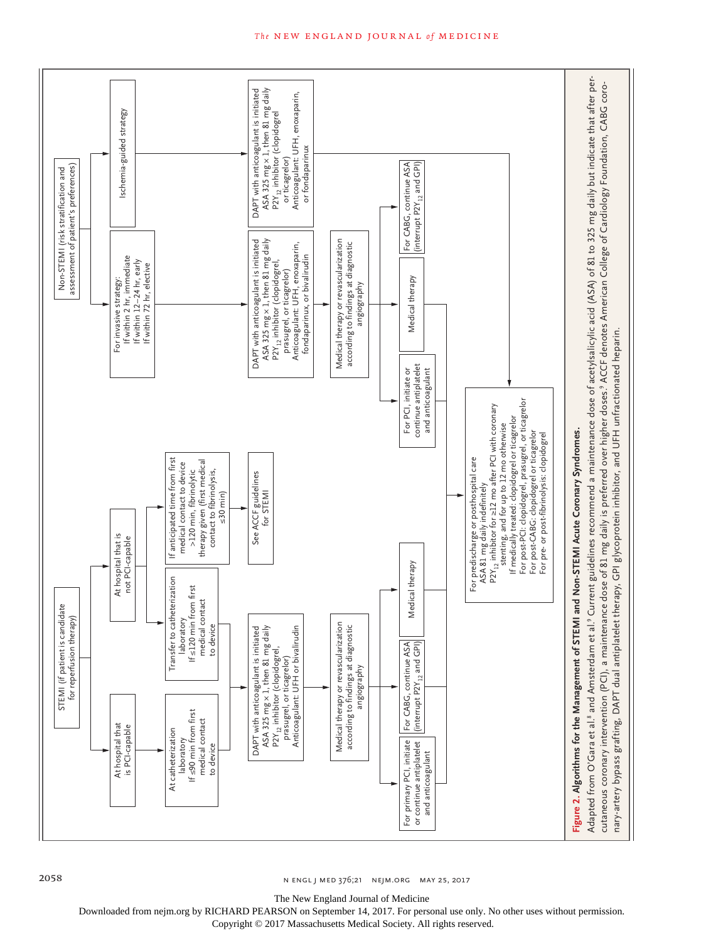

2058 **n ENGL J MED 376;21 NEIM.ORG MAY 25, 2017** 

The New England Journal of Medicine

Downloaded from nejm.org by RICHARD PEARSON on September 14, 2017. For personal use only. No other uses without permission.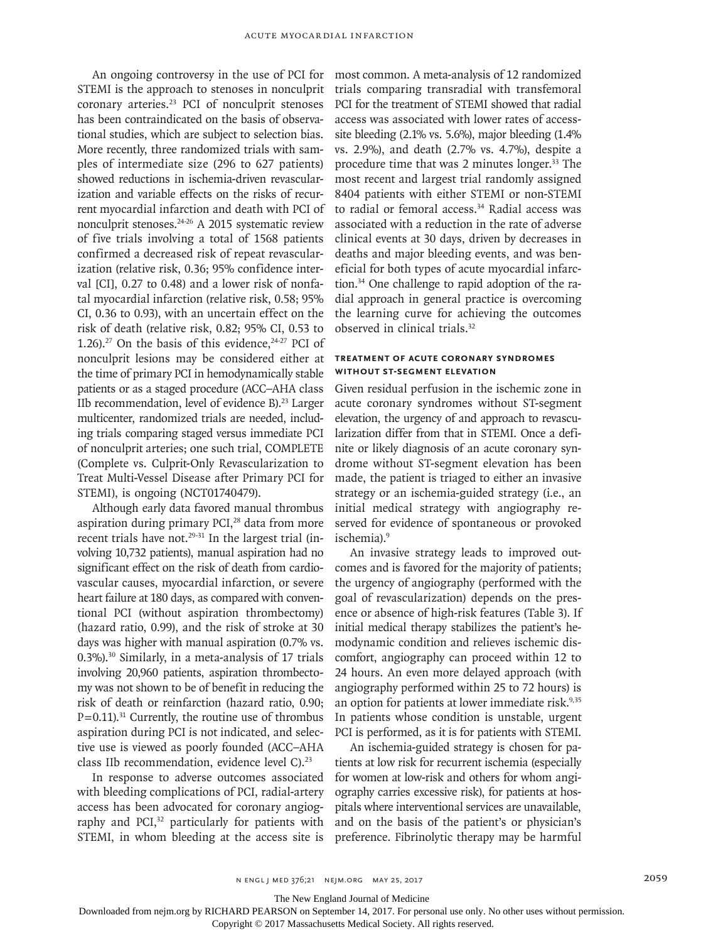An ongoing controversy in the use of PCI for STEMI is the approach to stenoses in nonculprit coronary arteries.<sup>23</sup> PCI of nonculprit stenoses has been contraindicated on the basis of observational studies, which are subject to selection bias. More recently, three randomized trials with samples of intermediate size (296 to 627 patients) showed reductions in ischemia-driven revascularization and variable effects on the risks of recurrent myocardial infarction and death with PCI of nonculprit stenoses.24-26 A 2015 systematic review of five trials involving a total of 1568 patients confirmed a decreased risk of repeat revascularization (relative risk, 0.36; 95% confidence interval [CI], 0.27 to 0.48) and a lower risk of nonfatal myocardial infarction (relative risk, 0.58; 95% CI, 0.36 to 0.93), with an uncertain effect on the risk of death (relative risk, 0.82; 95% CI, 0.53 to 1.26).<sup>27</sup> On the basis of this evidence,  $24-27$  PCI of nonculprit lesions may be considered either at the time of primary PCI in hemodynamically stable patients or as a staged procedure (ACC–AHA class IIb recommendation, level of evidence  $B$ ).<sup>23</sup> Larger multicenter, randomized trials are needed, including trials comparing staged versus immediate PCI of nonculprit arteries; one such trial, COMPLETE (Complete vs. Culprit-Only Revascularization to Treat Multi-Vessel Disease after Primary PCI for STEMI), is ongoing (NCT01740479).

Although early data favored manual thrombus aspiration during primary PCI,<sup>28</sup> data from more recent trials have not.<sup>29-31</sup> In the largest trial (involving 10,732 patients), manual aspiration had no significant effect on the risk of death from cardiovascular causes, myocardial infarction, or severe heart failure at 180 days, as compared with conventional PCI (without aspiration thrombectomy) (hazard ratio, 0.99), and the risk of stroke at 30 days was higher with manual aspiration (0.7% vs. 0.3%).30 Similarly, in a meta-analysis of 17 trials involving 20,960 patients, aspiration thrombectomy was not shown to be of benefit in reducing the risk of death or reinfarction (hazard ratio, 0.90;  $P=0.11$ ).<sup>31</sup> Currently, the routine use of thrombus aspiration during PCI is not indicated, and selective use is viewed as poorly founded (ACC–AHA class IIb recommendation, evidence level C).<sup>23</sup>

In response to adverse outcomes associated with bleeding complications of PCI, radial-artery access has been advocated for coronary angiography and PCI,<sup>32</sup> particularly for patients with STEMI, in whom bleeding at the access site is most common. A meta-analysis of 12 randomized trials comparing transradial with transfemoral PCI for the treatment of STEMI showed that radial access was associated with lower rates of accesssite bleeding (2.1% vs. 5.6%), major bleeding (1.4% vs. 2.9%), and death (2.7% vs. 4.7%), despite a procedure time that was 2 minutes longer.33 The most recent and largest trial randomly assigned 8404 patients with either STEMI or non-STEMI to radial or femoral access.<sup>34</sup> Radial access was associated with a reduction in the rate of adverse clinical events at 30 days, driven by decreases in deaths and major bleeding events, and was beneficial for both types of acute myocardial infarction.34 One challenge to rapid adoption of the radial approach in general practice is overcoming the learning curve for achieving the outcomes observed in clinical trials.<sup>32</sup>

## **Treatment of Acute Coronary Syndromes without ST-Segment Elevation**

Given residual perfusion in the ischemic zone in acute coronary syndromes without ST-segment elevation, the urgency of and approach to revascularization differ from that in STEMI. Once a definite or likely diagnosis of an acute coronary syndrome without ST-segment elevation has been made, the patient is triaged to either an invasive strategy or an ischemia-guided strategy (i.e., an initial medical strategy with angiography reserved for evidence of spontaneous or provoked ischemia).<sup>9</sup>

An invasive strategy leads to improved outcomes and is favored for the majority of patients; the urgency of angiography (performed with the goal of revascularization) depends on the presence or absence of high-risk features (Table 3). If initial medical therapy stabilizes the patient's hemodynamic condition and relieves ischemic discomfort, angiography can proceed within 12 to 24 hours. An even more delayed approach (with angiography performed within 25 to 72 hours) is an option for patients at lower immediate risk.<sup>9,35</sup> In patients whose condition is unstable, urgent PCI is performed, as it is for patients with STEMI.

An ischemia-guided strategy is chosen for patients at low risk for recurrent ischemia (especially for women at low-risk and others for whom angiography carries excessive risk), for patients at hospitals where interventional services are unavailable, and on the basis of the patient's or physician's preference. Fibrinolytic therapy may be harmful

The New England Journal of Medicine

Downloaded from nejm.org by RICHARD PEARSON on September 14, 2017. For personal use only. No other uses without permission.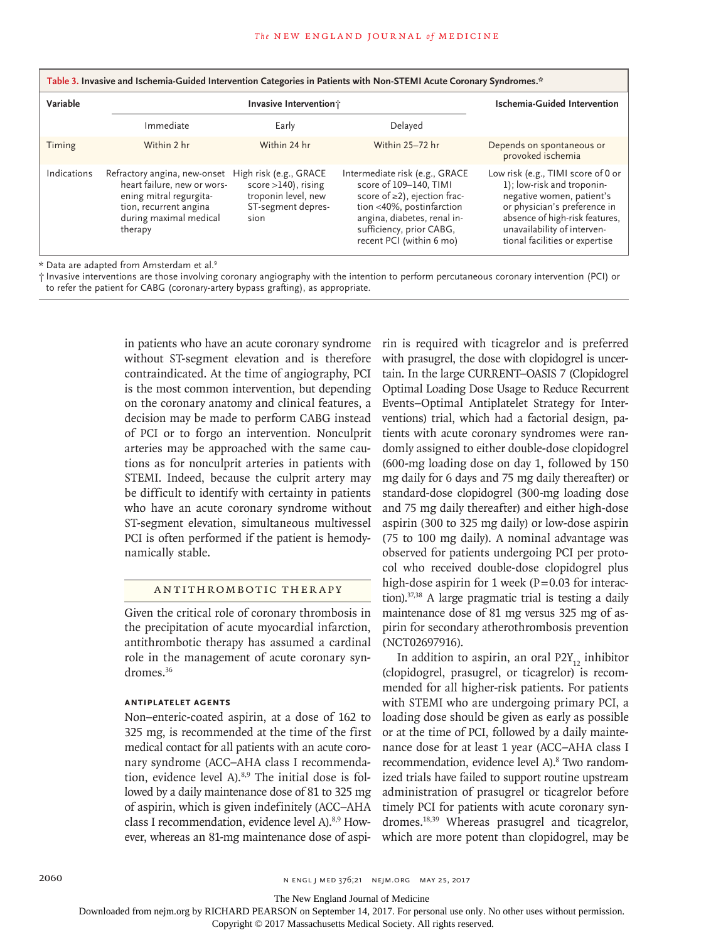| Table 3. Invasive and Ischemia-Guided Intervention Categories in Patients with Non-STEMI Acute Coronary Syndromes.* |                                                                                                                                                       |                                                                                                       |                                                                                                                                                                                                              |                                                                                                                                                                                                                                  |  |
|---------------------------------------------------------------------------------------------------------------------|-------------------------------------------------------------------------------------------------------------------------------------------------------|-------------------------------------------------------------------------------------------------------|--------------------------------------------------------------------------------------------------------------------------------------------------------------------------------------------------------------|----------------------------------------------------------------------------------------------------------------------------------------------------------------------------------------------------------------------------------|--|
| Variable                                                                                                            | Invasive Intervention;                                                                                                                                |                                                                                                       |                                                                                                                                                                                                              | Ischemia-Guided Intervention                                                                                                                                                                                                     |  |
|                                                                                                                     | Immediate                                                                                                                                             | Early                                                                                                 | Delayed                                                                                                                                                                                                      |                                                                                                                                                                                                                                  |  |
| Timing                                                                                                              | Within 2 hr                                                                                                                                           | Within 24 hr                                                                                          | Within 25-72 hr                                                                                                                                                                                              | Depends on spontaneous or<br>provoked ischemia                                                                                                                                                                                   |  |
| Indications                                                                                                         | Refractory angina, new-onset<br>heart failure, new or wors-<br>ening mitral regurgita-<br>tion, recurrent angina<br>during maximal medical<br>therapy | High risk (e.g., GRACE<br>score $>140$ ), rising<br>troponin level, new<br>ST-segment depres-<br>sion | Intermediate risk (e.g., GRACE<br>score of 109-140, TIMI<br>score of ≥2), ejection frac-<br>tion <40%, postinfarction<br>angina, diabetes, renal in-<br>sufficiency, prior CABG,<br>recent PCI (within 6 mo) | Low risk (e.g., TIMI score of 0 or<br>1); low-risk and troponin-<br>negative women, patient's<br>or physician's preference in<br>absence of high-risk features,<br>unavailability of interven-<br>tional facilities or expertise |  |

\* Data are adapted from Amsterdam et al.9

† Invasive interventions are those involving coronary angiography with the intention to perform percutaneous coronary intervention (PCI) or to refer the patient for CABG (coronary-artery bypass grafting), as appropriate.

> in patients who have an acute coronary syndrome without ST-segment elevation and is therefore contraindicated. At the time of angiography, PCI is the most common intervention, but depending on the coronary anatomy and clinical features, a decision may be made to perform CABG instead of PCI or to forgo an intervention. Nonculprit arteries may be approached with the same cautions as for nonculprit arteries in patients with STEMI. Indeed, because the culprit artery may be difficult to identify with certainty in patients who have an acute coronary syndrome without ST-segment elevation, simultaneous multivessel PCI is often performed if the patient is hemodynamically stable.

## Antithrombotic Therapy

Given the critical role of coronary thrombosis in the precipitation of acute myocardial infarction, antithrombotic therapy has assumed a cardinal role in the management of acute coronary syndromes.<sup>36</sup>

## **Antiplatelet Agents**

Non–enteric-coated aspirin, at a dose of 162 to 325 mg, is recommended at the time of the first medical contact for all patients with an acute coronary syndrome (ACC–AHA class I recommendation, evidence level A).<sup>8,9</sup> The initial dose is followed by a daily maintenance dose of 81 to 325 mg of aspirin, which is given indefinitely (ACC–AHA class I recommendation, evidence level A).8,9 However, whereas an 81-mg maintenance dose of aspirin is required with ticagrelor and is preferred with prasugrel, the dose with clopidogrel is uncertain. In the large CURRENT–OASIS 7 (Clopidogrel Optimal Loading Dose Usage to Reduce Recurrent Events–Optimal Antiplatelet Strategy for Interventions) trial, which had a factorial design, patients with acute coronary syndromes were randomly assigned to either double-dose clopidogrel (600-mg loading dose on day 1, followed by 150 mg daily for 6 days and 75 mg daily thereafter) or standard-dose clopidogrel (300-mg loading dose and 75 mg daily thereafter) and either high-dose aspirin (300 to 325 mg daily) or low-dose aspirin (75 to 100 mg daily). A nominal advantage was observed for patients undergoing PCI per protocol who received double-dose clopidogrel plus high-dose aspirin for 1 week ( $P=0.03$  for interaction).37,38 A large pragmatic trial is testing a daily maintenance dose of 81 mg versus 325 mg of aspirin for secondary atherothrombosis prevention (NCT02697916).

In addition to aspirin, an oral  $P2Y_{12}$  inhibitor (clopidogrel, prasugrel, or ticagrelor) is recommended for all higher-risk patients. For patients with STEMI who are undergoing primary PCI, a loading dose should be given as early as possible or at the time of PCI, followed by a daily maintenance dose for at least 1 year (ACC–AHA class I recommendation, evidence level A).<sup>8</sup> Two randomized trials have failed to support routine upstream administration of prasugrel or ticagrelor before timely PCI for patients with acute coronary syndromes.18,39 Whereas prasugrel and ticagrelor, which are more potent than clopidogrel, may be

The New England Journal of Medicine

Downloaded from nejm.org by RICHARD PEARSON on September 14, 2017. For personal use only. No other uses without permission.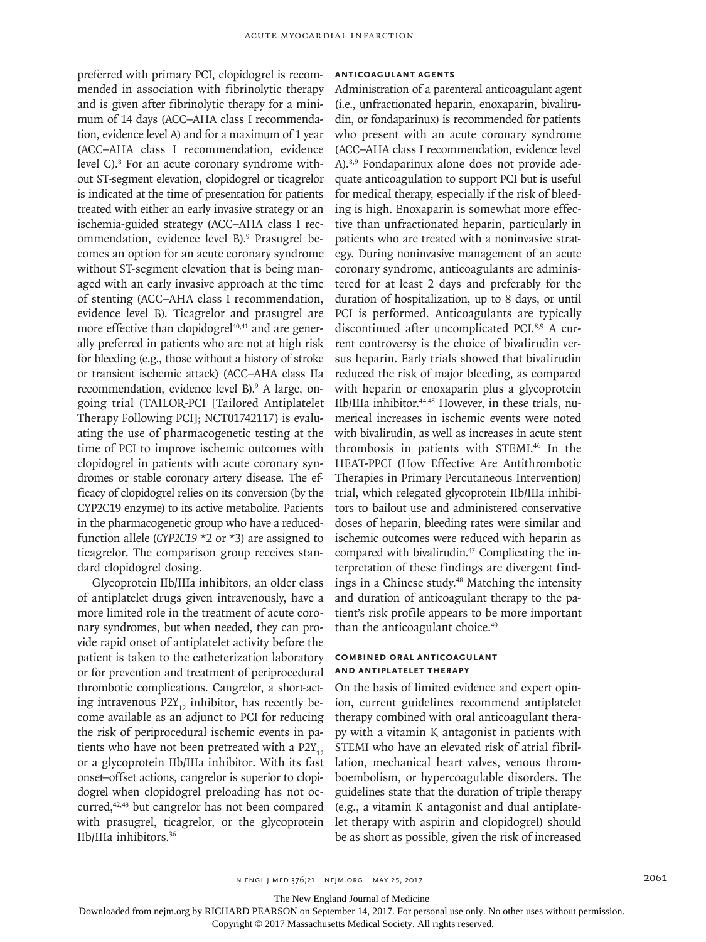preferred with primary PCI, clopidogrel is recommended in association with fibrinolytic therapy and is given after fibrinolytic therapy for a minimum of 14 days (ACC–AHA class I recommendation, evidence level A) and for a maximum of 1 year (ACC–AHA class I recommendation, evidence level C).<sup>8</sup> For an acute coronary syndrome without ST-segment elevation, clopidogrel or ticagrelor is indicated at the time of presentation for patients treated with either an early invasive strategy or an ischemia-guided strategy (ACC–AHA class I recommendation, evidence level B).<sup>9</sup> Prasugrel becomes an option for an acute coronary syndrome without ST-segment elevation that is being managed with an early invasive approach at the time of stenting (ACC–AHA class I recommendation, evidence level B). Ticagrelor and prasugrel are more effective than clopidogrel $40,41$  and are generally preferred in patients who are not at high risk for bleeding (e.g., those without a history of stroke or transient ischemic attack) (ACC–AHA class IIa recommendation, evidence level B).<sup>9</sup> A large, ongoing trial (TAILOR-PCI [Tailored Antiplatelet Therapy Following PCI]; NCT01742117) is evaluating the use of pharmacogenetic testing at the time of PCI to improve ischemic outcomes with clopidogrel in patients with acute coronary syndromes or stable coronary artery disease. The efficacy of clopidogrel relies on its conversion (by the CYP2C19 enzyme) to its active metabolite. Patients in the pharmacogenetic group who have a reducedfunction allele (*CYP2C19* \*2 or \*3) are assigned to ticagrelor. The comparison group receives standard clopidogrel dosing.

Glycoprotein IIb/IIIa inhibitors, an older class of antiplatelet drugs given intravenously, have a more limited role in the treatment of acute coronary syndromes, but when needed, they can provide rapid onset of antiplatelet activity before the patient is taken to the catheterization laboratory or for prevention and treatment of periprocedural thrombotic complications. Cangrelor, a short-acting intravenous  $P2Y_{12}$  inhibitor, has recently become available as an adjunct to PCI for reducing the risk of periprocedural ischemic events in patients who have not been pretreated with a  $P2Y_{12}$ or a glycoprotein IIb/IIIa inhibitor. With its fast onset–offset actions, cangrelor is superior to clopidogrel when clopidogrel preloading has not occurred,<sup>42,43</sup> but cangrelor has not been compared with prasugrel, ticagrelor, or the glycoprotein IIb/IIIa inhibitors.36

#### **Anticoagulant Agents**

Administration of a parenteral anticoagulant agent (i.e., unfractionated heparin, enoxaparin, bivalirudin, or fondaparinux) is recommended for patients who present with an acute coronary syndrome (ACC–AHA class I recommendation, evidence level A).8,9 Fondaparinux alone does not provide adequate anticoagulation to support PCI but is useful for medical therapy, especially if the risk of bleeding is high. Enoxaparin is somewhat more effective than unfractionated heparin, particularly in patients who are treated with a noninvasive strategy. During noninvasive management of an acute coronary syndrome, anticoagulants are administered for at least 2 days and preferably for the duration of hospitalization, up to 8 days, or until PCI is performed. Anticoagulants are typically discontinued after uncomplicated PCI.8,9 A current controversy is the choice of bivalirudin versus heparin. Early trials showed that bivalirudin reduced the risk of major bleeding, as compared with heparin or enoxaparin plus a glycoprotein IIb/IIIa inhibitor.44,45 However, in these trials, numerical increases in ischemic events were noted with bivalirudin, as well as increases in acute stent thrombosis in patients with STEMI.46 In the HEAT-PPCI (How Effective Are Antithrombotic Therapies in Primary Percutaneous Intervention) trial, which relegated glycoprotein IIb/IIIa inhibitors to bailout use and administered conservative doses of heparin, bleeding rates were similar and ischemic outcomes were reduced with heparin as compared with bivalirudin.<sup>47</sup> Complicating the interpretation of these findings are divergent findings in a Chinese study.<sup>48</sup> Matching the intensity and duration of anticoagulant therapy to the patient's risk profile appears to be more important than the anticoagulant choice.<sup>49</sup>

# **Combined Oral Anticoagulant and Antiplatelet Therapy**

On the basis of limited evidence and expert opinion, current guidelines recommend antiplatelet therapy combined with oral anticoagulant therapy with a vitamin K antagonist in patients with STEMI who have an elevated risk of atrial fibrillation, mechanical heart valves, venous thromboembolism, or hypercoagulable disorders. The guidelines state that the duration of triple therapy (e.g., a vitamin K antagonist and dual antiplatelet therapy with aspirin and clopidogrel) should be as short as possible, given the risk of increased

The New England Journal of Medicine

Downloaded from nejm.org by RICHARD PEARSON on September 14, 2017. For personal use only. No other uses without permission.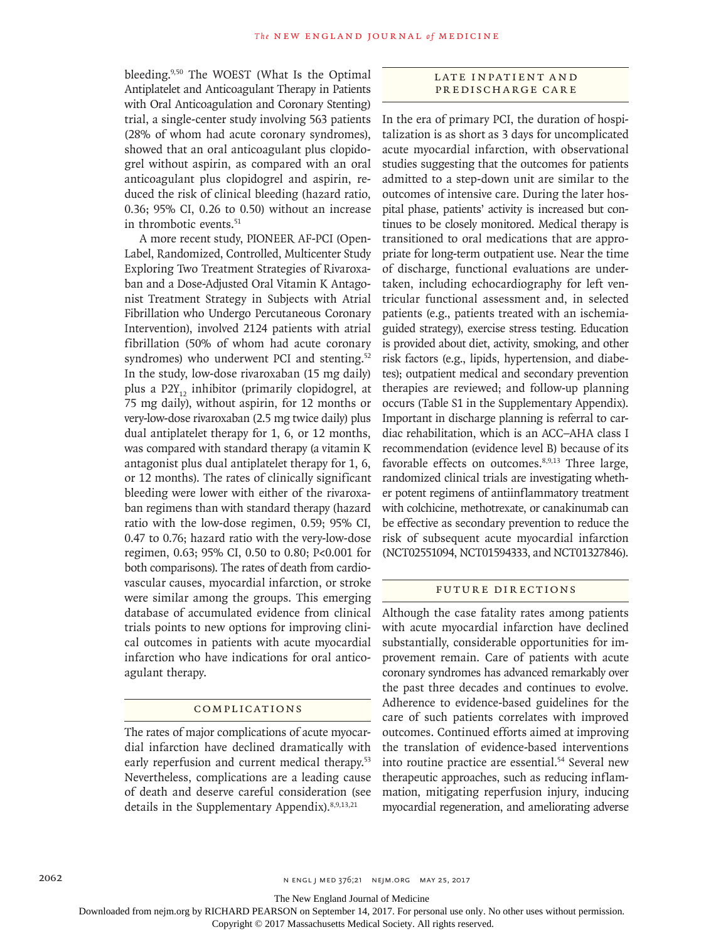bleeding.9,50 The WOEST (What Is the Optimal Antiplatelet and Anticoagulant Therapy in Patients with Oral Anticoagulation and Coronary Stenting) trial, a single-center study involving 563 patients (28% of whom had acute coronary syndromes), showed that an oral anticoagulant plus clopidogrel without aspirin, as compared with an oral anticoagulant plus clopidogrel and aspirin, reduced the risk of clinical bleeding (hazard ratio, 0.36; 95% CI, 0.26 to 0.50) without an increase in thrombotic events.<sup>51</sup>

A more recent study, PIONEER AF-PCI (Open-Label, Randomized, Controlled, Multicenter Study Exploring Two Treatment Strategies of Rivaroxaban and a Dose-Adjusted Oral Vitamin K Antagonist Treatment Strategy in Subjects with Atrial Fibrillation who Undergo Percutaneous Coronary Intervention), involved 2124 patients with atrial fibrillation (50% of whom had acute coronary syndromes) who underwent PCI and stenting.<sup>52</sup> In the study, low-dose rivaroxaban (15 mg daily) plus a  $P2Y_{12}$  inhibitor (primarily clopidogrel, at 75 mg daily), without aspirin, for 12 months or very-low-dose rivaroxaban (2.5 mg twice daily) plus dual antiplatelet therapy for 1, 6, or 12 months, was compared with standard therapy (a vitamin K antagonist plus dual antiplatelet therapy for 1, 6, or 12 months). The rates of clinically significant bleeding were lower with either of the rivaroxaban regimens than with standard therapy (hazard ratio with the low-dose regimen, 0.59; 95% CI, 0.47 to 0.76; hazard ratio with the very-low-dose regimen, 0.63; 95% CI, 0.50 to 0.80; P<0.001 for both comparisons). The rates of death from cardiovascular causes, myocardial infarction, or stroke were similar among the groups. This emerging database of accumulated evidence from clinical trials points to new options for improving clinical outcomes in patients with acute myocardial infarction who have indications for oral anticoagulant therapy.

## Complications

The rates of major complications of acute myocardial infarction have declined dramatically with early reperfusion and current medical therapy.<sup>53</sup> Nevertheless, complications are a leading cause of death and deserve careful consideration (see details in the Supplementary Appendix).8,9,13,21

# LATE INPATIENT AND Predischarge Care

In the era of primary PCI, the duration of hospitalization is as short as 3 days for uncomplicated acute myocardial infarction, with observational studies suggesting that the outcomes for patients admitted to a step-down unit are similar to the outcomes of intensive care. During the later hospital phase, patients' activity is increased but continues to be closely monitored. Medical therapy is transitioned to oral medications that are appropriate for long-term outpatient use. Near the time of discharge, functional evaluations are undertaken, including echocardiography for left ventricular functional assessment and, in selected patients (e.g., patients treated with an ischemiaguided strategy), exercise stress testing. Education is provided about diet, activity, smoking, and other risk factors (e.g., lipids, hypertension, and diabetes); outpatient medical and secondary prevention therapies are reviewed; and follow-up planning occurs (Table S1 in the Supplementary Appendix). Important in discharge planning is referral to cardiac rehabilitation, which is an ACC–AHA class I recommendation (evidence level B) because of its favorable effects on outcomes.8,9,13 Three large, randomized clinical trials are investigating whether potent regimens of antiinflammatory treatment with colchicine, methotrexate, or canakinumab can be effective as secondary prevention to reduce the risk of subsequent acute myocardial infarction (NCT02551094, NCT01594333, and NCT01327846).

## Future Directions

Although the case fatality rates among patients with acute myocardial infarction have declined substantially, considerable opportunities for improvement remain. Care of patients with acute coronary syndromes has advanced remarkably over the past three decades and continues to evolve. Adherence to evidence-based guidelines for the care of such patients correlates with improved outcomes. Continued efforts aimed at improving the translation of evidence-based interventions into routine practice are essential.<sup>54</sup> Several new therapeutic approaches, such as reducing inflammation, mitigating reperfusion injury, inducing myocardial regeneration, and ameliorating adverse

The New England Journal of Medicine

Downloaded from nejm.org by RICHARD PEARSON on September 14, 2017. For personal use only. No other uses without permission.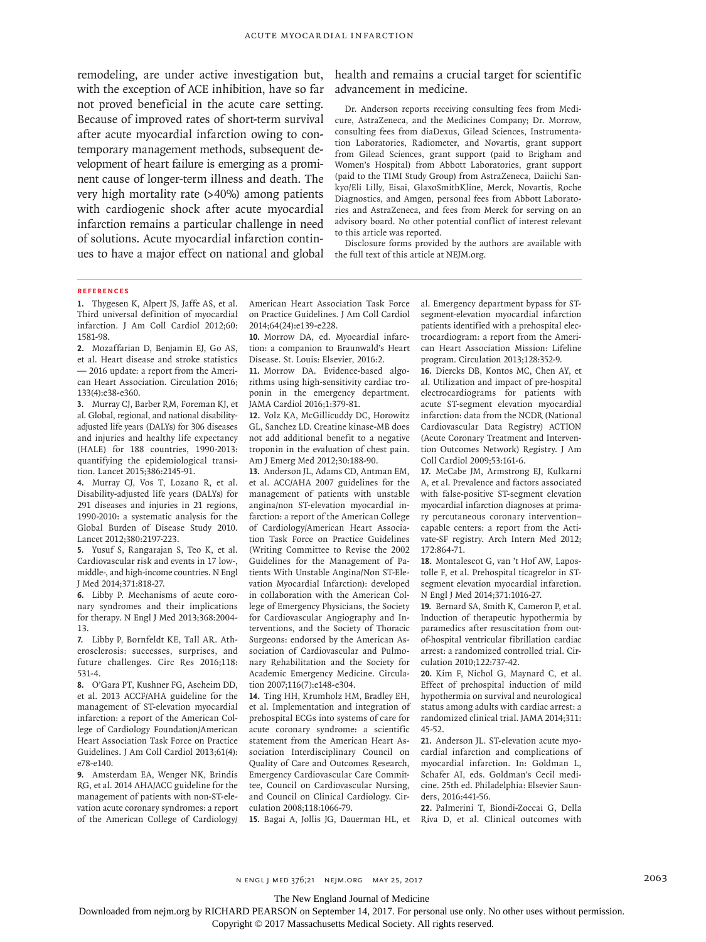remodeling, are under active investigation but, health and remains a crucial target for scientific with the exception of ACE inhibition, have so far not proved beneficial in the acute care setting. Because of improved rates of short-term survival after acute myocardial infarction owing to contemporary management methods, subsequent development of heart failure is emerging as a prominent cause of longer-term illness and death. The very high mortality rate (>40%) among patients with cardiogenic shock after acute myocardial infarction remains a particular challenge in need of solutions. Acute myocardial infarction continues to have a major effect on national and global

advancement in medicine.

Dr. Anderson reports receiving consulting fees from Medicure, AstraZeneca, and the Medicines Company; Dr. Morrow, consulting fees from diaDexus, Gilead Sciences, Instrumentation Laboratories, Radiometer, and Novartis, grant support from Gilead Sciences, grant support (paid to Brigham and Women's Hospital) from Abbott Laboratories, grant support (paid to the TIMI Study Group) from AstraZeneca, Daiichi Sankyo/Eli Lilly, Eisai, GlaxoSmithKline, Merck, Novartis, Roche Diagnostics, and Amgen, personal fees from Abbott Laboratories and AstraZeneca, and fees from Merck for serving on an advisory board. No other potential conflict of interest relevant to this article was reported.

Disclosure forms provided by the authors are available with the full text of this article at NEJM.org.

#### **References**

**1.** Thygesen K, Alpert JS, Jaffe AS, et al. Third universal definition of myocardial infarction. J Am Coll Cardiol 2012;60: 1581-98.

**2.** Mozaffarian D, Benjamin EJ, Go AS, et al. Heart disease and stroke statistics — 2016 update: a report from the American Heart Association. Circulation 2016; 133(4):e38-e360.

**3.** Murray CJ, Barber RM, Foreman KJ, et al. Global, regional, and national disabilityadjusted life years (DALYs) for 306 diseases and injuries and healthy life expectancy (HALE) for 188 countries, 1990-2013: quantifying the epidemiological transition. Lancet 2015;386:2145-91.

**4.** Murray CJ, Vos T, Lozano R, et al. Disability-adjusted life years (DALYs) for 291 diseases and injuries in 21 regions, 1990-2010: a systematic analysis for the Global Burden of Disease Study 2010. Lancet 2012;380:2197-223.

**5.** Yusuf S, Rangarajan S, Teo K, et al. Cardiovascular risk and events in 17 low-, middle-, and high-income countries. N Engl J Med 2014;371:818-27.

**6.** Libby P. Mechanisms of acute coronary syndromes and their implications for therapy. N Engl J Med 2013;368:2004- 13.

**7.** Libby P, Bornfeldt KE, Tall AR. Atherosclerosis: successes, surprises, and future challenges. Circ Res 2016;118: 531-4.

**8.** O'Gara PT, Kushner FG, Ascheim DD, et al. 2013 ACCF/AHA guideline for the management of ST-elevation myocardial infarction: a report of the American College of Cardiology Foundation/American Heart Association Task Force on Practice Guidelines. J Am Coll Cardiol 2013;61(4): e78-e140.

**9.** Amsterdam EA, Wenger NK, Brindis RG, et al. 2014 AHA/ACC guideline for the management of patients with non-ST-elevation acute coronary syndromes: a report of the American College of Cardiology/ American Heart Association Task Force on Practice Guidelines. J Am Coll Cardiol 2014;64(24):e139-e228.

**10.** Morrow DA, ed. Myocardial infarction: a companion to Braunwald's Heart Disease. St. Louis: Elsevier, 2016:2.

**11.** Morrow DA. Evidence-based algorithms using high-sensitivity cardiac troponin in the emergency department. JAMA Cardiol 2016;1:379-81.

**12.** Volz KA, McGillicuddy DC, Horowitz GL, Sanchez LD. Creatine kinase-MB does not add additional benefit to a negative troponin in the evaluation of chest pain. Am J Emerg Med 2012;30:188-90.

**13.** Anderson JL, Adams CD, Antman EM, et al. ACC/AHA 2007 guidelines for the management of patients with unstable angina/non ST-elevation myocardial infarction: a report of the American College of Cardiology/American Heart Association Task Force on Practice Guidelines (Writing Committee to Revise the 2002 Guidelines for the Management of Patients With Unstable Angina/Non ST-Elevation Myocardial Infarction): developed in collaboration with the American College of Emergency Physicians, the Society for Cardiovascular Angiography and Interventions, and the Society of Thoracic Surgeons: endorsed by the American Association of Cardiovascular and Pulmonary Rehabilitation and the Society for Academic Emergency Medicine. Circulation 2007;116(7):e148-e304.

**14.** Ting HH, Krumholz HM, Bradley EH, et al. Implementation and integration of prehospital ECGs into systems of care for acute coronary syndrome: a scientific statement from the American Heart Association Interdisciplinary Council on Quality of Care and Outcomes Research, Emergency Cardiovascular Care Committee, Council on Cardiovascular Nursing, and Council on Clinical Cardiology. Circulation 2008;118:1066-79.

al. Emergency department bypass for STsegment-elevation myocardial infarction patients identified with a prehospital electrocardiogram: a report from the American Heart Association Mission: Lifeline program. Circulation 2013;128:352-9.

**16.** Diercks DB, Kontos MC, Chen AY, et al. Utilization and impact of pre-hospital electrocardiograms for patients with acute ST-segment elevation myocardial infarction: data from the NCDR (National Cardiovascular Data Registry) ACTION (Acute Coronary Treatment and Intervention Outcomes Network) Registry. J Am Coll Cardiol 2009;53:161-6.

**17.** McCabe JM, Armstrong EJ, Kulkarni A, et al. Prevalence and factors associated with false-positive ST-segment elevation myocardial infarction diagnoses at primary percutaneous coronary intervention– capable centers: a report from the Activate-SF registry. Arch Intern Med 2012; 172:864-71.

**18.** Montalescot G, van 't Hof AW, Lapostolle F, et al. Prehospital ticagrelor in STsegment elevation myocardial infarction. N Engl J Med 2014;371:1016-27.

**19.** Bernard SA, Smith K, Cameron P, et al. Induction of therapeutic hypothermia by paramedics after resuscitation from outof-hospital ventricular fibrillation cardiac arrest: a randomized controlled trial. Circulation 2010;122:737-42.

**20.** Kim F, Nichol G, Maynard C, et al. Effect of prehospital induction of mild hypothermia on survival and neurological status among adults with cardiac arrest: a randomized clinical trial. JAMA 2014;311: 45-52.

**21.** Anderson JL. ST-elevation acute myocardial infarction and complications of myocardial infarction. In: Goldman L, Schafer AI, eds. Goldman's Cecil medicine. 25th ed. Philadelphia: Elsevier Saunders, 2016:441-56.

**15.** Bagai A, Jollis JG, Dauerman HL, et Riva D, et al. Clinical outcomes with **22.** Palmerini T, Biondi-Zoccai G, Della

n engl j med 376;21 nejm.org May 25, 2017 2063

The New England Journal of Medicine

Downloaded from nejm.org by RICHARD PEARSON on September 14, 2017. For personal use only. No other uses without permission.